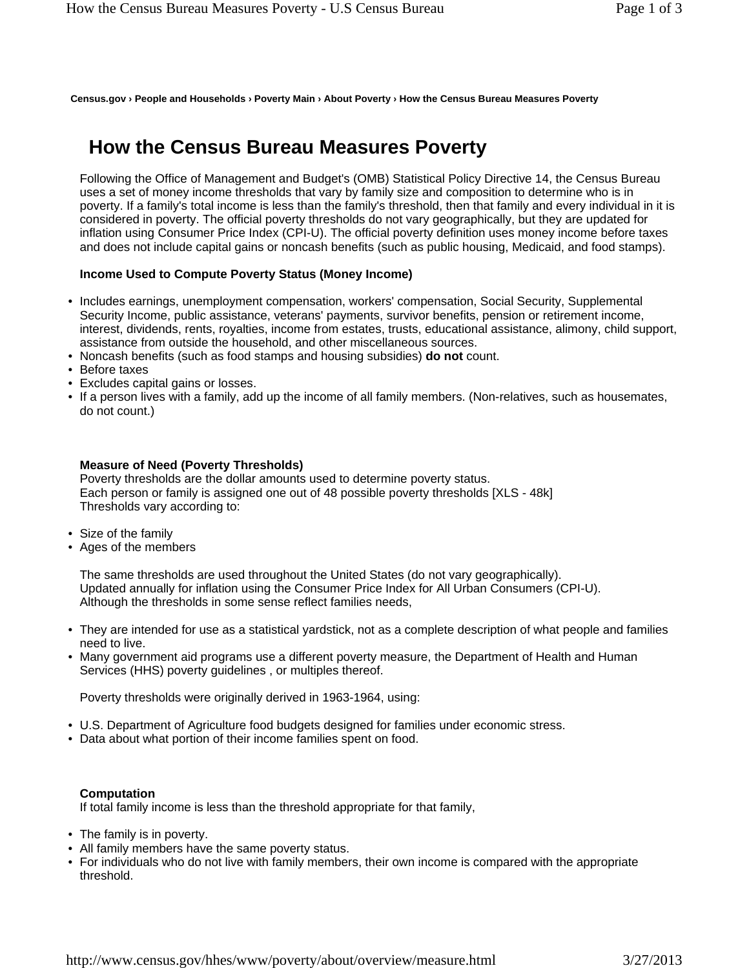**Census.gov › People and Households › Poverty Main › About Poverty › How the Census Bureau Measures Poverty** 

# **How the Census Bureau Measures Poverty**

Following the Office of Management and Budget's (OMB) Statistical Policy Directive 14, the Census Bureau uses a set of money income thresholds that vary by family size and composition to determine who is in poverty. If a family's total income is less than the family's threshold, then that family and every individual in it is considered in poverty. The official poverty thresholds do not vary geographically, but they are updated for inflation using Consumer Price Index (CPI-U). The official poverty definition uses money income before taxes and does not include capital gains or noncash benefits (such as public housing, Medicaid, and food stamps).

## **Income Used to Compute Poverty Status (Money Income)**

- Includes earnings, unemployment compensation, workers' compensation, Social Security, Supplemental Security Income, public assistance, veterans' payments, survivor benefits, pension or retirement income, interest, dividends, rents, royalties, income from estates, trusts, educational assistance, alimony, child support, assistance from outside the household, and other miscellaneous sources.
- Noncash benefits (such as food stamps and housing subsidies) **do not** count.
- Before taxes
- Excludes capital gains or losses.
- If a person lives with a family, add up the income of all family members. (Non-relatives, such as housemates, do not count.)

## **Measure of Need (Poverty Thresholds)**

Poverty thresholds are the dollar amounts used to determine poverty status. Each person or family is assigned one out of 48 possible poverty thresholds [XLS - 48k] Thresholds vary according to:

- Size of the family
- Ages of the members

The same thresholds are used throughout the United States (do not vary geographically). Updated annually for inflation using the Consumer Price Index for All Urban Consumers (CPI-U). Although the thresholds in some sense reflect families needs,

- They are intended for use as a statistical yardstick, not as a complete description of what people and families need to live.
- Many government aid programs use a different poverty measure, the Department of Health and Human Services (HHS) poverty guidelines , or multiples thereof.

Poverty thresholds were originally derived in 1963-1964, using:

- U.S. Department of Agriculture food budgets designed for families under economic stress.
- Data about what portion of their income families spent on food.

## **Computation**

If total family income is less than the threshold appropriate for that family,

- The family is in poverty.
- All family members have the same poverty status.
- For individuals who do not live with family members, their own income is compared with the appropriate threshold.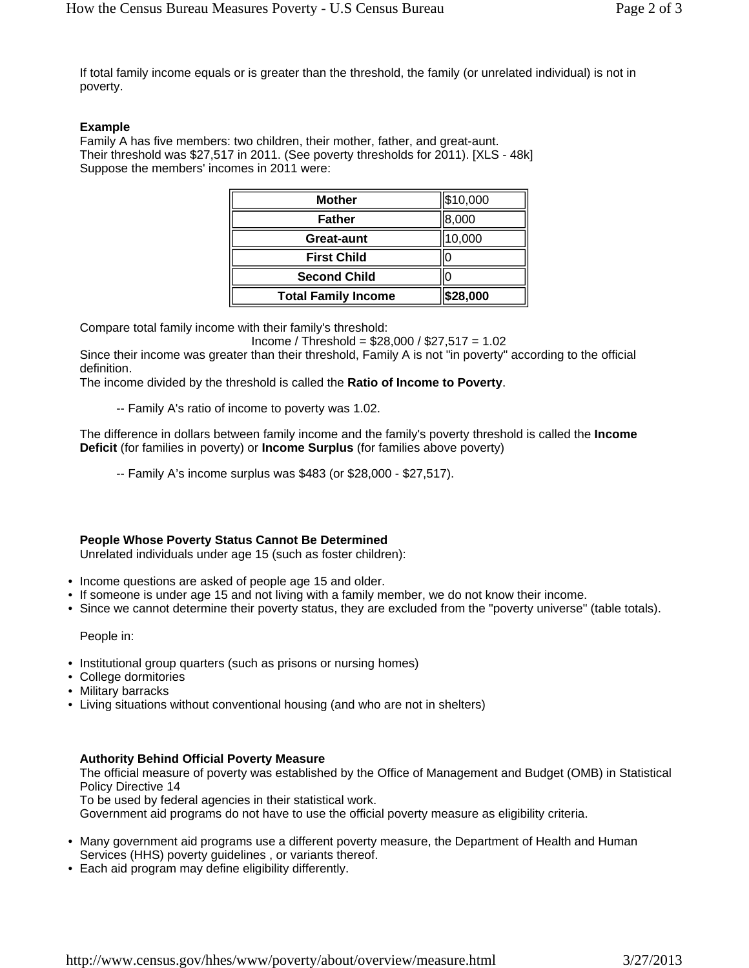If total family income equals or is greater than the threshold, the family (or unrelated individual) is not in poverty.

## **Example**

Family A has five members: two children, their mother, father, and great-aunt. Their threshold was \$27,517 in 2011. (See poverty thresholds for 2011). [XLS - 48k] Suppose the members' incomes in 2011 were:

| <b>Mother</b>              | \$10,000 |
|----------------------------|----------|
| <b>Father</b>              | 8,000    |
| Great-aunt                 | 10,000   |
| <b>First Child</b>         |          |
| <b>Second Child</b>        |          |
| <b>Total Family Income</b> | \$28,000 |

Compare total family income with their family's threshold:

Income / Threshold = \$28,000 / \$27,517 = 1.02

Since their income was greater than their threshold, Family A is not "in poverty" according to the official definition.

The income divided by the threshold is called the **Ratio of Income to Poverty**.

-- Family A's ratio of income to poverty was 1.02.

The difference in dollars between family income and the family's poverty threshold is called the **Income Deficit** (for families in poverty) or **Income Surplus** (for families above poverty)

-- Family A's income surplus was \$483 (or \$28,000 - \$27,517).

## **People Whose Poverty Status Cannot Be Determined**

Unrelated individuals under age 15 (such as foster children):

- Income questions are asked of people age 15 and older.
- If someone is under age 15 and not living with a family member, we do not know their income.
- Since we cannot determine their poverty status, they are excluded from the "poverty universe" (table totals).

People in:

- Institutional group quarters (such as prisons or nursing homes)
- College dormitories
- Military barracks
- Living situations without conventional housing (and who are not in shelters)

## **Authority Behind Official Poverty Measure**

The official measure of poverty was established by the Office of Management and Budget (OMB) in Statistical Policy Directive 14

To be used by federal agencies in their statistical work.

Government aid programs do not have to use the official poverty measure as eligibility criteria.

- Many government aid programs use a different poverty measure, the Department of Health and Human Services (HHS) poverty guidelines , or variants thereof.
- Each aid program may define eligibility differently.